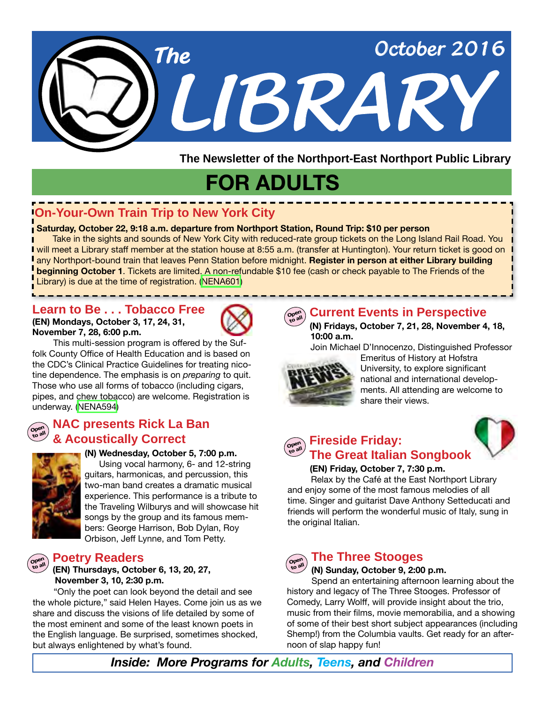

**The Newsletter of the Northport-East Northport Public Library**

# **FOR ADULTS**

## **On-Your-Own Train Trip to New York City**

### **Saturday, October 22, 9:18 a.m. departure from Northport Station, Round Trip: \$10 per person**

 Take in the sights and sounds of New York City with reduced-rate group tickets on the Long Island Rail Road. You I will meet a Library staff member at the station house at 8:55 a.m. (transfer at Huntington). Your return ticket is good on any Northport-bound train that leaves Penn Station before midnight. **Register in person at either Library building beginning October 1**. Tickets are limited. A non-refundable \$10 fee (cash or check payable to The Friends of the Library) is due at the time of registration. ([NENA601\)](http://alpha1.suffolk.lib.ny.us/record%3Dg1067055~S43)

## **Learn to Be . . . Tobacco Free**

**(EN) Mondays, October 3, 17, 24, 31, November 7, 28, 6:00 p.m.** 



 This multi-session program is offered by the Suffolk County Office of Health Education and is based on the CDC's Clinical Practice Guidelines for treating nicotine dependence. The emphasis is on *preparing* to quit. Those who use all forms of tobacco (including cigars, pipes, and chew tobacco) are welcome. Registration is underway. [\(NENA594](http://alpha1.suffolk.lib.ny.us/record%3Dg1065828~S43))

### **Open to all NAC presents Rick La Ban & Acoustically Correct**



**(N) Wednesday, October 5, 7:00 p.m.**  Using vocal harmony, 6- and 12-string guitars, harmonicas, and percussion, this two-man band creates a dramatic musical experience. This performance is a tribute to the Traveling Wilburys and will showcase hit songs by the group and its famous members: George Harrison, Bob Dylan, Roy Orbison, Jeff Lynne, and Tom Petty.

### **Poetry Readers**

### **(EN) Thursdays, October 6, 13, 20, 27, November 3, 10, 2:30 p.m.**

"Only the poet can look beyond the detail and see the whole picture," said Helen Hayes. Come join us as we share and discuss the visions of life detailed by some of the most eminent and some of the least known poets in the English language. Be surprised, sometimes shocked, but always enlightened by what's found.



## **Current Events in Perspective**

**(N) Fridays, October 7, 21, 28, November 4, 18, 10:00 a.m.** 

Join Michael D'Innocenzo, Distinguished Professor



Emeritus of History at Hofstra University, to explore significant national and international developments. All attending are welcome to share their views.



### **Open to all Fireside Friday: The Great Italian Songbook**

### **(EN) Friday, October 7, 7:30 p.m.**

 Relax by the Café at the East Northport Library and enjoy some of the most famous melodies of all time. Singer and guitarist Dave Anthony Setteducati and friends will perform the wonderful music of Italy, sung in the original Italian.



## **to all The Three Stooges**

### **(N) Sunday, October 9, 2:00 p.m.**

 Spend an entertaining afternoon learning about the history and legacy of The Three Stooges. Professor of Comedy, Larry Wolff, will provide insight about the trio, music from their films, movie memorabilia, and a showing of some of their best short subject appearances (including Shemp!) from the Columbia vaults. Get ready for an afternoon of slap happy fun!

*Inside: More Programs for Adults, Teens, and Children*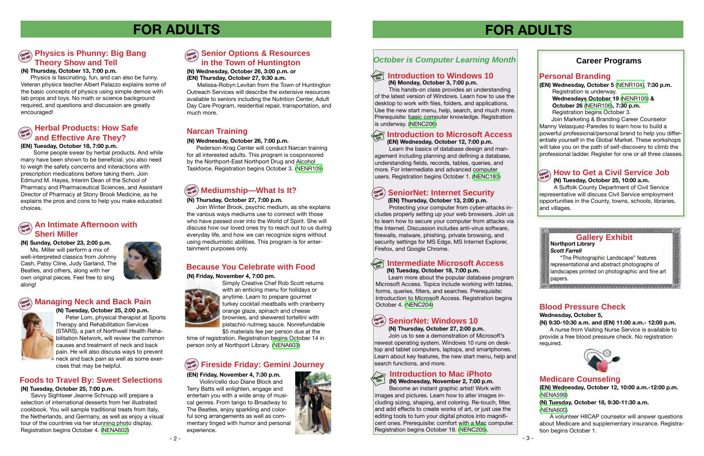## **Blood Pressure Check**

### **Wednesday, October 5,**

**(N) 9:30-10:30 a.m. and (EN) 11:00 a.m.- 12:00 p.m.**

 A nurse from Visiting Nurse Service is available to provide a free blood pressure check. No registration required.



**(N) Tuesday, October 18, 7:00 p.m.**

 Learn more about the popular database program Microsoft Access. Topics include working with tables, forms, queries, filters, and searches. Prerequisite: Introduction to Microsoft Access. Registration begins October 4. [\(NENC204\)](http://alpha1.suffolk.lib.ny.us/record%3Dg1067231~S43)

## $\sigma^{\text{open}}_{\text{total}}$  SeniorNet: Windows 10

search functions, and more.

**(EN) Thursday, October 13, 2:00 p.m.**

 Protecting your computer from cyber-attacks includes properly setting up your web browsers. Join us to learn how to secure your computer from attacks via the Internet. Discussion includes anti-virus software, firewalls, malware, phishing, private browsing, and security settings for MS Edge, MS Internet Explorer, Firefox, and Google Chrome.

**(EN) Wednesday, October 5** ([NENR104\),](http://alpha1.suffolk.lib.ny.us/record%3Dg1066965~S43) **7:30 p.m.** Registration is underway. **Wednesdays October 19** [\(NENR105](http://alpha1.suffolk.lib.ny.us/record%3Dg1067292~S43)) **& October 26** [\(NENR106\)](http://alpha1.suffolk.lib.ny.us/record%3Dg1067293~S43)**, 7:30 p.m. Registration begins October 3.** 

 This hands-on class provides an understanding of the latest version of Windows. Learn how to use the desktop to work with files, folders, and applications. Use the new start menu, help, search, and much more. Prerequisite: basic computer knowledge. Registration is underway. [\(NENC206\)](http://alpha1.suffolk.lib.ny.us/record%3Dg1066488~S43)

## *October is Computer Learning Month*

**(N) Thursday, October 27, 2:00 p.m.** Join us to see a demonstration of Microsoft's newest operating system. Windows 10 runs on desktop and tablet computers, laptops, and smartphones. Learn about key features, the new start menu, help and

# **FOR ADULTS**

### **Personal Branding**

## **Career Programs**

### **Open Managing Neck and Back Pain**



Join Marketing & Branding Career Counselor Manny Velasquez-Paredes to learn how to build a powerful professional/personal brand to help you differentiate yourself in the Global Market. These workshops will take you on the path of self-discovery to climb the professional ladder. Register for one or all three classes.

## $\widehat{\theta}^{\text{open}}_{\text{new}}$  An Intimate Afternoon with  $\widehat{\theta}^{\text{open}}_{\text{new}}$ **Sheri Miller**

## **(N) Tuesday, October 25, 7:00 p.m.**

 Savvy Sightseer Jeanne Schnupp will prepare a selection of international desserts from her illustrated cookbook. You will sample traditional treats from Italy, the Netherlands, and Germany, as well as enjoy a visual tour of the countries via her stunning photo display. Registration begins October 4. [\(NENA602\)](http://alpha1.suffolk.lib.ny.us/record%3Dg1067128~S43)

## **(N) Thursday, October 27, 7:00 p.m.**

# **Open to all Mediumship—What Is It?**

Join Winter Brook, psychic medium, as she explains the various ways mediums use to connect with those who have passed over into the World of Spirit. She will discuss how our loved ones try to reach out to us during everyday life, and how we can recognize signs without using mediumistic abilities. This program is for entertainment purposes only.

# **FOR ADULTS**

## **Medicare Counseling**

**(EN) Wednesday, October 12, 10:00 a.m.-12:00 p.m.**  ([NENA599](http://alpha1.suffolk.lib.ny.us/record%3Dg1067173~S43))

**(N) Tuesday, October 18, 9:30-11:30 a.m.**  ([NENA600](http://alpha1.suffolk.lib.ny.us/record%3Dg1067174~S43))

## **Open to all Senior Options & Resources in the Town of Huntington**

 A volunteer HIICAP counselor will answer questions about Medicare and supplementary insurance. Registration begins October 1.



### **Hands Introduction to Microsoft Access On**

**(N) Wednesday, October 26, 3:00 p.m. or (EN) Thursday, October 27, 9:30 a.m.**

 Melissa-Robyn Levitan from the Town of Huntington Outreach Services will describe the extensive resources available to seniors including the Nutrition Center, Adult Day Care Program, residential repair, transportation, and much more.

### **(N) Monday, October 3, 7:00 p.m. Hands On Introduction to Windows 10**

**(N) Sunday, October 23, 2:00 p.m.** Ms. Miller will perform a mix of well-interpreted classics from Johnny Cash, Patsy Cline, Judy Garland, The Beatles, and others, along with her own original pieces. Feel free to sing along!



### **(EN) Tuesday, October 18, 7:00 p.m.**

Some people swear by herbal products. And while many have been shown to be beneficial, you also need to weigh the safety concerns and interactions with prescription medications before taking them. Join Edmund M. Hayes, Interim Dean of the School of Pharmacy and Pharmaceutical Sciences, and Assistant Director of Pharmacy at Stony Brook Medicine, as he explains the pros and cons to help you make educated choices.

### **Open to all Herbal Products: How Safe and Effective Are They?**

## **Foods to Travel By: Sweet Selections**

**(N) Tuesday, October 25, 2:00 p.m.** Peter Lom, physical therapist at Sports Therapy and Rehabilitation Services (STARS), a part of Northwell Health Rehabilitation Network, will review the common causes and treatment of neck and back pain. He will also discuss ways to prevent neck and back pain as well as some exercises that may be helpful.

### **Northport Library** *Scott Farrell*

## **Open to all SeniorNet: Internet Security**

## **Hands On Intermediate Microsoft Access**

 "The Photographic Landscape" features representational and abstract photographs of landscapes printed on photographic and fine art papers.

**Administrative of the Contract of Contract Contract** 

## **Gallery Exhibit**

### **Open to all Fireside Friday: Gemini Journey**

### **(EN) Friday, November 4, 7:30 p.m.**

Violin/cello duo Diane Block and Terry Batts will enlighten, engage and entertain you with a wide array of musical genres. From tango to Broadway to The Beatles, enjoy sparkling and colorful song arrangements as well as commentary tinged with humor and personal experience.



## **Because You Celebrate with Food**

### **How to Get a Civil Service Job (N) Tuesday, October 25, 10:00 a.m.**

A Suffolk County Department of Civil Service representative will discuss Civil Service employment opportunities in the County, towns, schools, libraries, and villages.

## **(N) Wednesday, November 2, 7:00 p.m.**

Become an instant graphic artist! Work with images and pictures. Learn how to alter images including sizing, shaping, and coloring. Re-touch, filter, and add effects to create works of art, or just use the editing tools to turn your digital photos into magnificent ones. Prerequisite: comfort with a Mac computer. Registration begins October 19. [\(NENC205\)](http://alpha1.suffolk.lib.ny.us/record%3Dg1067232~S43).

### **(N) Friday, November 4, 7:00 pm.**



Simply Creative Chef Rob Scott returns with an enticing menu for holidays or anytime. Learn to prepare gourmet turkey cocktail meatballs with cranberry orange glaze, spinach and cheese brownies, and skewered tortellini with pistachio nutmeg sauce. Nonrefundable \$5 materials fee per person due at the

time of registration. Registration begins October 14 in person only at Northport Library. [\(NENA603\)](http://alpha1.suffolk.lib.ny.us/record%3Dg1067145~S43)

### **(EN) Wednesday, October 12, 7:00 p.m.**

### **Introduction to Mac iPhoto Hands On**

 Learn the basics of database design and management including planning and defining a database, understanding fields, records, tables, queries, and more. For intermediate and advanced computer users. Registration begins October 1. [\(NENC183\)](http://alpha1.suffolk.lib.ny.us/record%3Dg1057769~S43)

### **(N) Wednesday, October 26, 7:00 p.m.**

Pederson-Krag Center will conduct Narcan training for all interested adults. This program is cosponsored by the Northport-East Northport Drug and Alcohol Taskforce. Registration begins October 3. [\(NENR109](http://alpha1.suffolk.lib.ny.us/record%3Dg1067297~S43))

## **Narcan Training**

### **(N) Thursday, October 13, 7:00 p.m.**

## **Open to all Physics is Phunny: Big Bang Theory Show and Tell**

Physics is fascinating, fun, and can also be funny. Veteran physics teacher Albert Palazzo explains some of the basic concepts of physics using simple demos with lab props and toys. No math or science background required, and questions and discussion are greatly encouraged!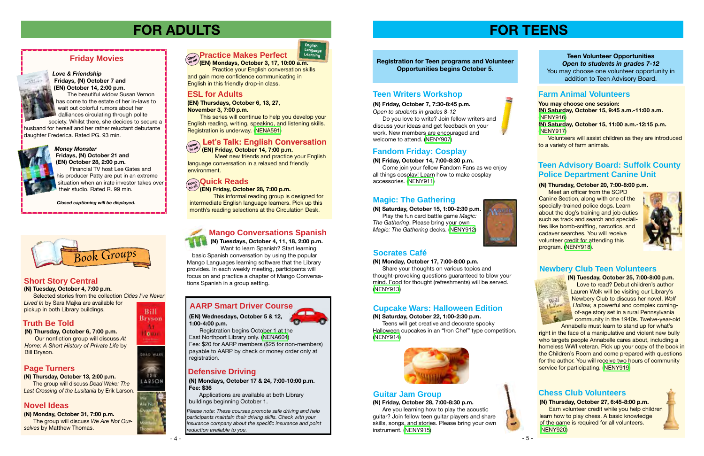## **(N) Friday, October 14, 7:00-8:30 p.m.**

 Come join your fellow Fandom Fans as we enjoy all things cosplay! Learn how to make cosplay accessories. ([NENY911](http://alpha1.suffolk.lib.ny.us/record%3Dg1066714~S43))

**(N) Saturday, October 15, 1:00-2:30 p.m.** Play the fun card battle game *Magic: The Gathering*. Please bring your own *Magic: The Gathering* decks. [\(NENY912\)](http://alpha1.suffolk.lib.ny.us/record%3Dg1066716~S43)



## **Registration for Teen programs and Volunteer Opportunities begins October 5.**

## **Guitar Jam Group**



### **(N) Thursday, October 20, 7:00-8:00 p.m.**

 Meet an officer from the SCPD Canine Section, along with one of the specially-trained police dogs. Learn about the dog's training and job duties such as track and search and specialities like bomb-sniffing, narcotics, and cadaver searches. You will receive volunteer credit for attending this program. ([NENY918\)](http://alpha1.suffolk.lib.ny.us/record%3Dg1066828~S43).



## **Defensive Driving**

right in the face of a manipulative and violent new bully who targets people Annabelle cares about, including a homeless WWI veteran. Pick up your copy of the book in the Children's Room and come prepared with questions for the author. You will receive two hours of community service for participating. ([NENY919\)](http://alpha1.suffolk.lib.ny.us/record%3Dg1066837~S43)

*Please note: These courses promote safe driving and help participants maintain their driving skills. Check with your insurance company about the specific insurance and point reduction available to you.*

**(N) Mondays, October 17 & 24, 7:00-10:00 p.m. Fee: \$36**

Applications are available at both Library



buildings beginning October 1.

**(EN) Wednesdays, October 5 & 12, 1:00-4:00 p.m.**

Registration begins October 1 at the East Northport Library only. ([NENA604](http://alpha1.suffolk.lib.ny.us/record%3Dg1067171~S43))

Fee: \$20 for AARP members (\$25 for non-members) payable to AARP by check or money order only at registration.

**(N) Tuesday, October 25, 7:00-8:00 p.m.**  Love to read? Debut children's author Lauren Wolk will be visiting our Library's Newbery Club to discuss her novel, *Wolf Hollow,* a powerful and complex comingof-age story set in a rural Pennsylvania **Community in the 1940s. Twelve-year-old** Annabelle must learn to stand up for what's

# **FOR ADULTS**

**(N) Monday, October 31, 7:00 p.m.**

 The group will discuss *We Are Not Ourselves* by Matthew Thomas.



**(EN) Friday, October 28, 7:00 p.m.** This informal reading group is designed for

intermediate English language learners. Pick up this month's reading selections at the Circulation Desk.



## **Practice Makes Perfect Learning**

## **ESL for Adults**

**(EN) Thursdays, October 6, 13, 27, November 3, 7:00 p.m.**

 This series will continue to help you develop your English reading, writing, speaking, and listening skills. Registration is underway. [\(NENA591](http://alpha1.suffolk.lib.ny.us/record%3Dg1065404~S43))

Meet new friends and practice your English language conversation in a relaxed and friendly environment.

# **Quick Reads**<br> **Consulter**<br> **Open Cridov** Ostah

### *Love & Friendship*  **Fridays, (N) October 7 and (EN) October 14, 2:00 p.m.**

**(EN) Mondays, October 3, 17, 10:00 a.m.** Practice your English conversation skills and gain more confidence communicating in English in this friendly drop-in class. **Open to all**

 The beautiful widow Susan Vernon has come to the estate of her in-laws to wait out colorful rumors about her dalliances circulating through polite

### **Let's Talk: English Conversation Open**

 **(EN) Friday, October 14, 7:00 p.m. to all**

society. Whilst there, she decides to secure a husband for herself and her rather reluctant debutante daughter Frederica. Rated PG. 93 min.



### *Money Monster*  **Fridays, (N) October 21 and (EN) October 28, 2:00 p.m.**

 Financial TV host Lee Gates and his producer Patty are put in an extreme situation when an irate investor takes over their studio. Rated R. 99 min.





**(N) Friday, October 7, 7:30-8:45 p.m.** *Open to students in grades 8-12*

 Do you love to write? Join fellow writers and discuss your ideas and get feedback on your work. New members are encouraged and welcome to attend. ([NENY907](http://alpha1.suffolk.lib.ny.us/record%3Dg1066010~S43))

## **AARP Smart Driver Course**

## **Teen Advisory Board: Suffolk County Police Department Canine Unit**

**You may choose one session: (N) Saturday, October 15, 9:45 a.m.-11:00 a.m.**  ([NENY916\)](http://alpha1.suffolk.lib.ny.us/record%3Dg1066820~S43) **(N) Saturday, October 15, 11:00 a.m.-12:15 p.m.** ([NENY917\)](http://alpha1.suffolk.lib.ny.us/record%3Dg1066822~S43)

Volunteers will assist children as they are introduced to a variety of farm animals.

 *Closed captioning will be displayed.*

## **Fandom Friday: Cosplay**

## **Magic: The Gathering**

## **Teen Writers Workshop**

**(N) Friday, October 28, 7:00-8:30 p.m.**

 Are you learning how to play the acoustic guitar? Join fellow teen guitar players and share skills, songs, and stories. Please bring your own instrument. ([NENY915](http://alpha1.suffolk.lib.ny.us/record%3Dg1066819~S43))









## **Socrates Café**

### **(N) Monday, October 17, 7:00-8:00 p.m.**

 Share your thoughts on various topics and thought-provoking questions guaranteed to blow your mind. Food for thought (refreshments) will be served. ([NENY913](http://alpha1.suffolk.lib.ny.us/record%3Dg1066720~S43))

## **(N) Saturday, October 22, 1:00-2:30 p.m.**

 Teens will get creative and decorate spooky Halloween cupcakes in an "Iron Chef" type competition. ([NENY914](http://alpha1.suffolk.lib.ny.us/record%3Dg1066721~S43))



## **Cupcake Wars: Halloween Edition**

### **Teen Volunteer Opportunities** *Open to students in grades 7-12* You may choose one volunteer opportunity in addition to Teen Advisory Board.

## **Farm Animal Volunteers**

### **Newbery Club Teen Volunteers**

## **Chess Club Volunteers**

Wolf Hollow

**(N) Thursday, October 27, 6:45-8:00 p.m.**  Earn volunteer credit while you help children learn how to play chess. A basic knowledge of the game is required for all volunteers. ([NENY920](http://alpha1.suffolk.lib.ny.us/record%3Dg1066825~S43))



**(N) Tuesdays, October 4, 11, 18, 2:00 p.m.** Want to learn Spanish? Start learning basic Spanish conversation by using the popular Mango Languages learning software that the Library provides. In each weekly meeting, participants will focus on and practice a chapter of Mango Conversations Spanish in a group setting.

## **Mango Conversations Spanish**

## **Truth Be Told**

## **Page Turners**

## **Novel Ideas**

## Ar **Texas**

**Bill Bryson** 

DEAD WARE

ERIK. **ARSON** 

## **Short Story Central**

### **(N) Tuesday, October 4, 7:00 p.m.**

 Selected stories from the collection *Cities I've Never Lived In* by Sara Majka are available for pickup in both Library buildings.

**(N) Thursday, October 6, 7:00 p.m.** Our nonfiction group will discuss *At Home: A Short History of Private Life* by Bill Bryson.

### **(N) Thursday, October 13, 2:00 p.m.**

 The group will discuss *Dead Wake: The Last Crossing of the Lusitania* by Erik Larson.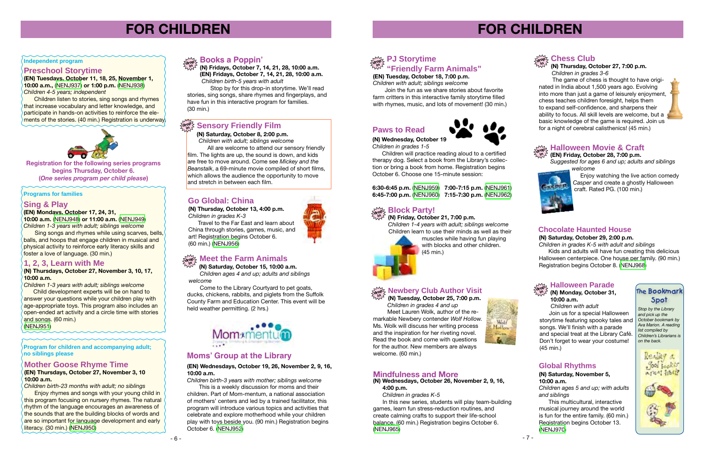

# **FOR CHILDREN**

**Registration for the following series programs begins Thursday, October 6. (***One series program per child please***)**

### **Sing & Play**

### **(EN) Mondays, October 17, 24, 31,**

**10:00 a.m.** ([NENJ948](http://alpha1.suffolk.lib.ny.us/record%3Dg1067100~S43)) **or 11:00 a.m.** ([NENJ949](http://alpha1.suffolk.lib.ny.us/record%3Dg1067101~S43)) *Children 1-3 years with adult; siblings welcome*

 Sing songs and rhymes while using scarves, bells, balls, and hoops that engage children in musical and physical activity to reinforce early literacy skills and foster a love of language. (30 min.)

## **1, 2, 3, Learn with Me**

### **(N) Thursdays, October 27, November 3, 10, 17, 10:00 a.m.**

*Children 1-3 years with adult; siblings welcome*

 Child development experts will be on hand to answer your questions while your children play with age-appropriate toys. This program also includes an open-ended art activity and a circle time with stories and songs. (60 min.)

[\(NENJ951](http://alpha1.suffolk.lib.ny.us/record%3Dg1067070~S43))

**(N) Thursday, October 13, 4:00 p.m.** *Children in grades K-3*

 Travel to the Far East and learn about China through stories, games, music, and art! Registration begins October 6. (60 min.) [\(NENJ956\)](http://alpha1.suffolk.lib.ny.us/record%3Dg1066966~S43)

## **drop <del>i</del>** Meet the Farm Animals

**Program for children and accompanying adult; no siblings please** 

### **Programs for families**

## **Mother Goose Rhyme Time**

### **(EN) Thursdays, October 27, November 3, 10 10:00 a.m.**

*Children birth-23 months with adult; no siblings*

Enjoy rhymes and songs with your young child in this program focusing on nursery rhymes. The natural rhythm of the language encourages an awareness of the sounds that are the building blocks of words and are so important for language development and early literacy. (30 min.) ([NENJ950\)](http://alpha1.suffolk.lib.ny.us/record%3Dg1067102~S43)

**(EN) Tuesday, October 18, 7:00 p.m.** *Children with adult; siblings welcome*

Join the fun as we share stories about favorite farm critters in this interactive family storytime filled with rhymes, music, and lots of movement! (30 min.)

# **FOR CHILDREN**

**(N) Fridays, October 7, 14, 21, 28, 10:00 a.m. (EN) Fridays, October 7, 14, 21, 28, 10:00 a.m.**  *Children birth-5 years with adult* **in**

### **Books a Poppin'** and the same of the same of the same of the same of the same of the same of the same of the same of the same of the same of the same of the same of the same of the same of the same of the same of the same **"Friendly Farm Animals"** ್ಯ PJ Storytime **in**

 Stop by for this drop-in storytime. We'll read stories, sing songs, share rhymes and fingerplays, and have fun in this interactive program for families. (30 min.)

## **drop**

**(N) Thursday, October 27, 7:00 p.m.**  *Children in grades 3-6*

 The game of chess is thought to have originated in India about 1,500 years ago. Evolving into more than just a game of leisurely enjoyment, chess teaches children foresight, helps them to expand self-confidence, and sharpens their ability to focus. All skill levels are welcome, but a basic knowledge of the game is required. Join us for a night of cerebral calisthenics! (45 min.)



**(N) Friday, October 21, 7:00 p.m.**

Enjoy watching the live action comedy *Casper* and create a ghostly Halloween craft. Rated PG. (100 min.)

### drop ≿ Ti**diio weeti iwo vie & Ordi**<br><sup>*t<sub>h</sub>y T</sub>'</sup> (EN) Friday, October 28, 7:00 p.m.</sup>* **Halloween Movie & Craft**

*Children 1-4 years with adult; siblings welcome* Children learn to use their minds as well as their

### **Block Party! drop in**

muscles while having fun playing with blocks and other children. (45 min.)

**(N) Saturday, October 15, 10:00 a.m.**

Join us for a special Halloween storytime featuring spooky tales and songs. We'll finish with a parade and special treat at the Library Café. Don't forget to wear your costume! (45 min.)

 *Children ages 4 and up; adults and siblings welcome*

 Come to the Library Courtyard to pet goats, ducks, chickens, rabbits, and piglets from the Suffolk County Farm and Education Center. This event will be held weather permitting. (2 hrs.)



### **drop in Newbery Club Author Visit**

### **(N) Saturday, October 8, 2:00 p.m.**

## **drop in Sensory Friendly Film**

 *Children with adult; siblings welcome*

 All are welcome to attend our sensory friendly film. The lights are up, the sound is down, and kids are free to move around. Come see *Mickey and the Beanstalk*, a 69-minute movie compiled of short films, which allows the audience the opportunity to move and stretch in between each film.

## **Preschool Storytime**

**(EN) Tuesdays, October 11, 18, 25, November 1, 10:00 a.m.,** ([NENJ937](http://alpha1.suffolk.lib.ny.us/record%3Dg1066459~S43)) **or 1:00 p.m.** ([NENJ938](http://alpha1.suffolk.lib.ny.us/record%3Dg1066460~S43)) *Children 4-5 years; independent*

Children listen to stories, sing songs and rhymes that increase vocabulary and letter knowledge, and participate in hands-on activities to reinforce the elements of the stories. (40 min.) Registration is underway.



## **Paws to Read**



## **Go Global: China**



## **Moms' Group at the Library**

**(N) Tuesday, October 25, 7:00 p.m.** *Children in grades 4 and up* Meet Lauren Wolk, author of the remarkable Newbery contender *Wolf Hollow.* Ms. Wolk will discuss her writing process and the inspiration for her riveting novel. Read the book and come with questions for the author. New members are always welcome. (60 min.)



## **Mindfulness and More**

### **(N) Wednesdays, October 26, November 2, 9, 16, 4:00 p.m.**

*Children in grades K-5*

 In this new series, students will play team-building games, learn fun stress-reduction routines, and create calming crafts to support their life-school balance. (60 min.) Registration begins October 6. [\(NENJ965\)](http://alpha1.suffolk.lib.ny.us/record%3Dg1065860~S43)

**(N) Wednesday, October 19** *Children in grades 1-5*

 Children will practice reading aloud to a certified therapy dog. Select a book from the Library's collection or bring a book from home. Registration begins October 6. Choose one 15-minute session:

**6:30-6:45 p.m.** ([NENJ959\)](http://alpha1.suffolk.lib.ny.us/record%3Dg1065673~S43) **7:00-7:15 p.m.** ([NENJ961](http://alpha1.suffolk.lib.ny.us/record%3Dg1065676~S43)) **6:45-7:00 p.m.** ([NENJ960\)](http://alpha1.suffolk.lib.ny.us/record%3Dg1065675~S43) **7:15-7:30 p.m.** ([NENJ962](http://alpha1.suffolk.lib.ny.us/record%3Dg1065676~S43))

## **Chess Club**

*Suggested for ages 6 and up; adults and siblings welcome*



## **Chocolate Haunted House**

**(N) Saturday, October 29, 2:00 p.m.**

*Children in grades K-5 with adult and siblings* Kids and adults will have fun creating this delicious Halloween centerpiece. One house per family. (90 min.) Registration begins October 8. [\(NENJ968](http://alpha1.suffolk.lib.ny.us/record%3Dg1065557~S43))



# r<sup>wy</sup>, Halloween Parade<br>a<sup>top</sup> <sup>2</sup> (N) Monday October 31

### **(N) Monday, October 31, 10:00 a.m.**

*Children with adult*

## **The Bookmark Spot**

*Stop by the Library and pick up the October bookmark by Ava Marion. A reading list compiled by Children's Librarians is on the back.*



## **Global Rhythms**

### **(N) Saturday, November 5, 10:00 a.m.**

*Children ages 5 and up; with adults and siblings*

This multicultural, interactive musical journey around the world is fun for the entire family. (60 min.) Registration begins October 13. ([NENJ970](http://alpha1.suffolk.lib.ny.us/record%3Dg1065873~S43))

### **(EN) Wednesdays, October 19, 26, November 2, 9, 16, 10:00 a.m.**

*Children birth-3 years with mother; siblings welcome*

This is a weekly discussion for moms and their children. Part of Mom-mentum, a national association of mothers' centers and led by a trained facilitator, this program will introduce various topics and activities that celebrate and explore motherhood while your children play with toys beside you. (90 min.) Registration begins October 6. [\(NENJ952\)](http://alpha1.suffolk.lib.ny.us/record%3Dg1067099~S43)